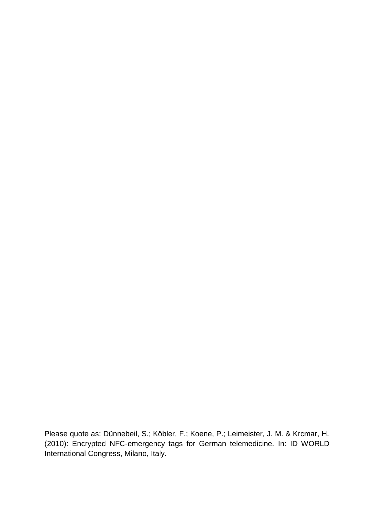Please quote as: Dünnebeil, S.; Köbler, F.; Koene, P.; Leimeister, J. M. & Krcmar, H. (2010): Encrypted NFC-emergency tags for German telemedicine. In: ID WORLD International Congress, Milano, Italy.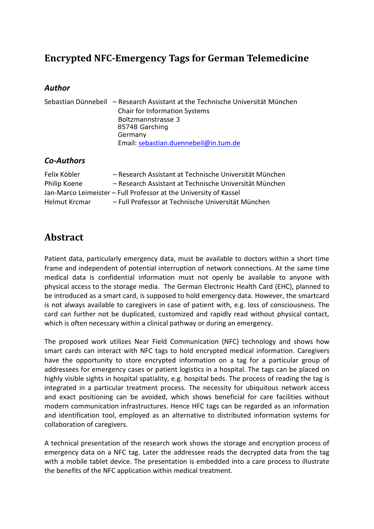# **Encrypted NFC-Emergency Tags for German Telemedicine**

#### *Author*

|               | Sebastian Dünnebeil – Research Assistant at the Technische Universität München |
|---------------|--------------------------------------------------------------------------------|
|               | <b>Chair for Information Systems</b>                                           |
|               | Boltzmannstrasse 3                                                             |
|               | 85748 Garching                                                                 |
|               | Germany                                                                        |
|               | Email: sebastian.duennebeil@in.tum.de                                          |
| $Ca$ -Authors |                                                                                |

## *Co-Authors*

| Felix Köbler                                                      | - Research Assistant at Technische Universität München |
|-------------------------------------------------------------------|--------------------------------------------------------|
| Philip Koene                                                      | - Research Assistant at Technische Universität München |
| Jan-Marco Leimeister - Full Professor at the University of Kassel |                                                        |
| Helmut Krcmar                                                     | - Full Professor at Technische Universität München     |

## **Abstract**

Patient data, particularly emergency data, must be available to doctors within a short time frame and independent of potential interruption of network connections. At the same time medical data is confidential information must not openly be available to anyone with physical access to the storage media. The German Electronic Health Card (EHC), planned to be introduced as a smart card, is supposed to hold emergency data. However, the smartcard is not always available to caregivers in case of patient with, e.g. loss of consciousness. The card can further not be duplicated, customized and rapidly read without physical contact, which is often necessary within a clinical pathway or during an emergency.

The proposed work utilizes Near Field Communication (NFC) technology and shows how smart cards can interact with NFC tags to hold encrypted medical information. Caregivers have the opportunity to store encrypted information on a tag for a particular group of addressees for emergency cases or patient logistics in a hospital. The tags can be placed on highly visible sights in hospital spatiality, e.g. hospital beds. The process of reading the tag is integrated in a particular treatment process. The necessity for ubiquitous network access and exact positioning can be avoided, which shows beneficial for care facilities without modern communication infrastructures. Hence HFC tags can be regarded as an information and identification tool, employed as an alternative to distributed information systems for collaboration of caregivers.

A technical presentation of the research work shows the storage and encryption process of emergency data on a NFC tag. Later the addressee reads the decrypted data from the tag with a mobile tablet device. The presentation is embedded into a care process to illustrate the benefits of the NFC application within medical treatment.